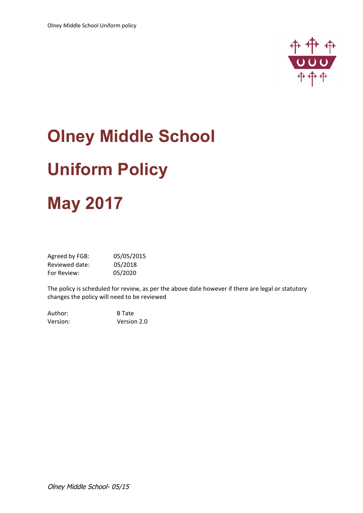

# **Olney Middle School Uniform Policy May 2017**

| Agreed by FGB: | 05/05/2015 |
|----------------|------------|
| Reviewed date: | 05/2018    |
| For Review:    | 05/2020    |

The policy is scheduled for review, as per the above date however if there are legal or statutory changes the policy will need to be reviewed

| Author:  | <b>B</b> Tate |
|----------|---------------|
| Version: | Version 2.0   |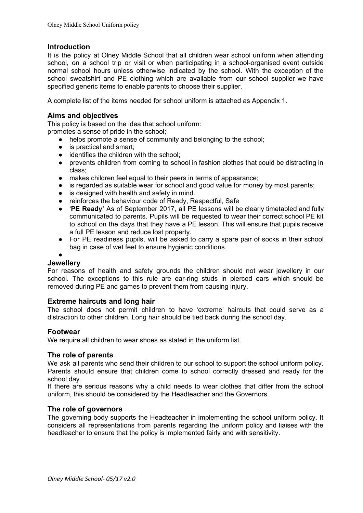## **Introduction**

It is the policy at Olney Middle School that all children wear school uniform when attending school, on a school trip or visit or when participating in a school-organised event outside normal school hours unless otherwise indicated by the school. With the exception of the school sweatshirt and PE clothing which are available from our school supplier we have specified generic items to enable parents to choose their supplier.

A complete list of the items needed for school uniform is attached as Appendix 1.

## **Aims and objectives**

This policy is based on the idea that school uniform:

promotes a sense of pride in the school;

- helps promote a sense of community and belonging to the school;
- is practical and smart:
- identifies the children with the school;
- prevents children from coming to school in fashion clothes that could be distracting in class;
- makes children feel equal to their peers in terms of appearance;
- is regarded as suitable wear for school and good value for money by most parents;
- is designed with health and safety in mind.
- reinforces the behaviour code of Ready, Respectful, Safe
- '**PE Ready'** As of September 2017, all PE lessons will be clearly timetabled and fully communicated to parents. Pupils will be requested to wear their correct school PE kit to school on the days that they have a PE lesson. This will ensure that pupils receive a full PE lesson and reduce lost property.
- For PE readiness pupils, will be asked to carry a spare pair of socks in their school bag in case of wet feet to ensure hygienic conditions.

●

## **Jewellery**

For reasons of health and safety grounds the children should not wear jewellery in our school. The exceptions to this rule are ear-ring studs in pierced ears which should be removed during PE and games to prevent them from causing injury.

## **Extreme haircuts and long hair**

The school does not permit children to have 'extreme' haircuts that could serve as a distraction to other children. Long hair should be tied back during the school day.

#### **Footwear**

We require all children to wear shoes as stated in the uniform list.

#### **The role of parents**

We ask all parents who send their children to our school to support the school uniform policy. Parents should ensure that children come to school correctly dressed and ready for the school day.

If there are serious reasons why a child needs to wear clothes that differ from the school uniform, this should be considered by the Headteacher and the Governors.

## **The role of governors**

The governing body supports the Headteacher in implementing the school uniform policy. It considers all representations from parents regarding the uniform policy and liaises with the headteacher to ensure that the policy is implemented fairly and with sensitivity.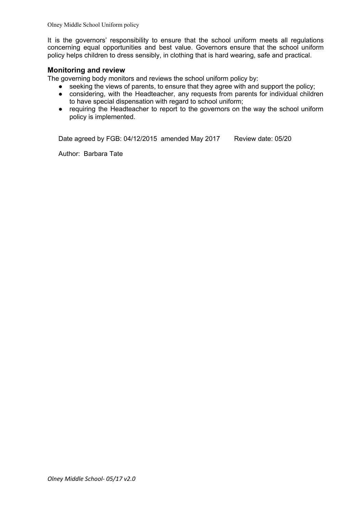Olney Middle School Uniform policy

It is the governors' responsibility to ensure that the school uniform meets all regulations concerning equal opportunities and best value. Governors ensure that the school uniform policy helps children to dress sensibly, in clothing that is hard wearing, safe and practical.

#### **Monitoring and review**

The governing body monitors and reviews the school uniform policy by:

- seeking the views of parents, to ensure that they agree with and support the policy;
- considering, with the Headteacher, any requests from parents for individual children to have special dispensation with regard to school uniform;
- requiring the Headteacher to report to the governors on the way the school uniform policy is implemented.

Date agreed by FGB: 04/12/2015 amended May 2017 Review date: 05/20

Author: Barbara Tate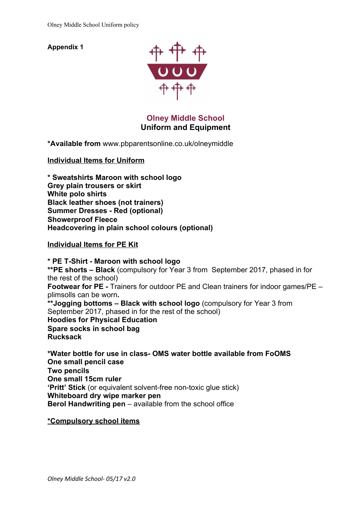**Appendix 1**



**Olney Middle School Uniform and Equipment**

**\*Available fro[m](http://www.pbparentsonline.co.uk/olneymiddle)** [www.pbparentsonline.co.uk/olneymiddle](http://www.pbparentsonline.co.uk/olneymiddle)

**Individual Items for Uniform**

**\* Sweatshirts Maroon with school logo Grey plain trousers or skirt White polo shirts Black leather shoes (not trainers) Summer Dresses - Red (optional) Showerproof Fleece Headcovering in plain school colours (optional)**

**Individual Items for PE Kit**

**\* PE T-Shirt - Maroon with school logo \*\*PE shorts – Black** (compulsory for Year 3 from September 2017, phased in for the rest of the school) **Footwear for PE -** Trainers for outdoor PE and Clean trainers for indoor games/PE – plimsolls can be worn**. \*\*Jogging bottoms – Black with school logo** (compulsory for Year 3 from September 2017, phased in for the rest of the school) **Hoodies for Physical Education Spare socks in school bag Rucksack**

**\*Water bottle for use in class- OMS water bottle available from FoOMS One small pencil case Two pencils One small 15cm ruler 'Pritt' Stick** (or equivalent solvent-free non-toxic glue stick) **Whiteboard dry wipe marker pen Berol Handwriting pen** – available from the school office

**\*Compulsory school items**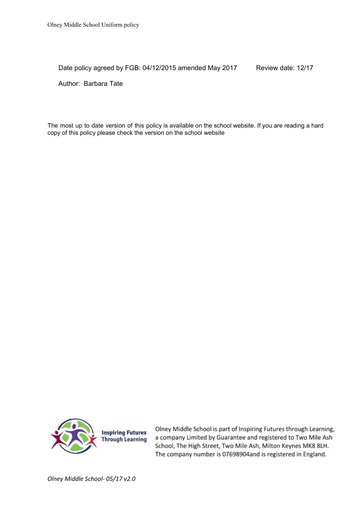Date policy agreed by FGB: 04/12/2015 amended May 2017 Review date: 12/17

Author: Barbara Tate

The most up to date version of this policy is available on the school website. If you are reading a hard copy of this policy please check the version on the school website



Olney Middle School is part of Inspiring Futures through Learning, a company Limited by Guarantee and registered to Two Mile Ash School, The High Street, Two Mile Ash, Milton Keynes MK8 8LH. The company number is 07698904and is registered in England.